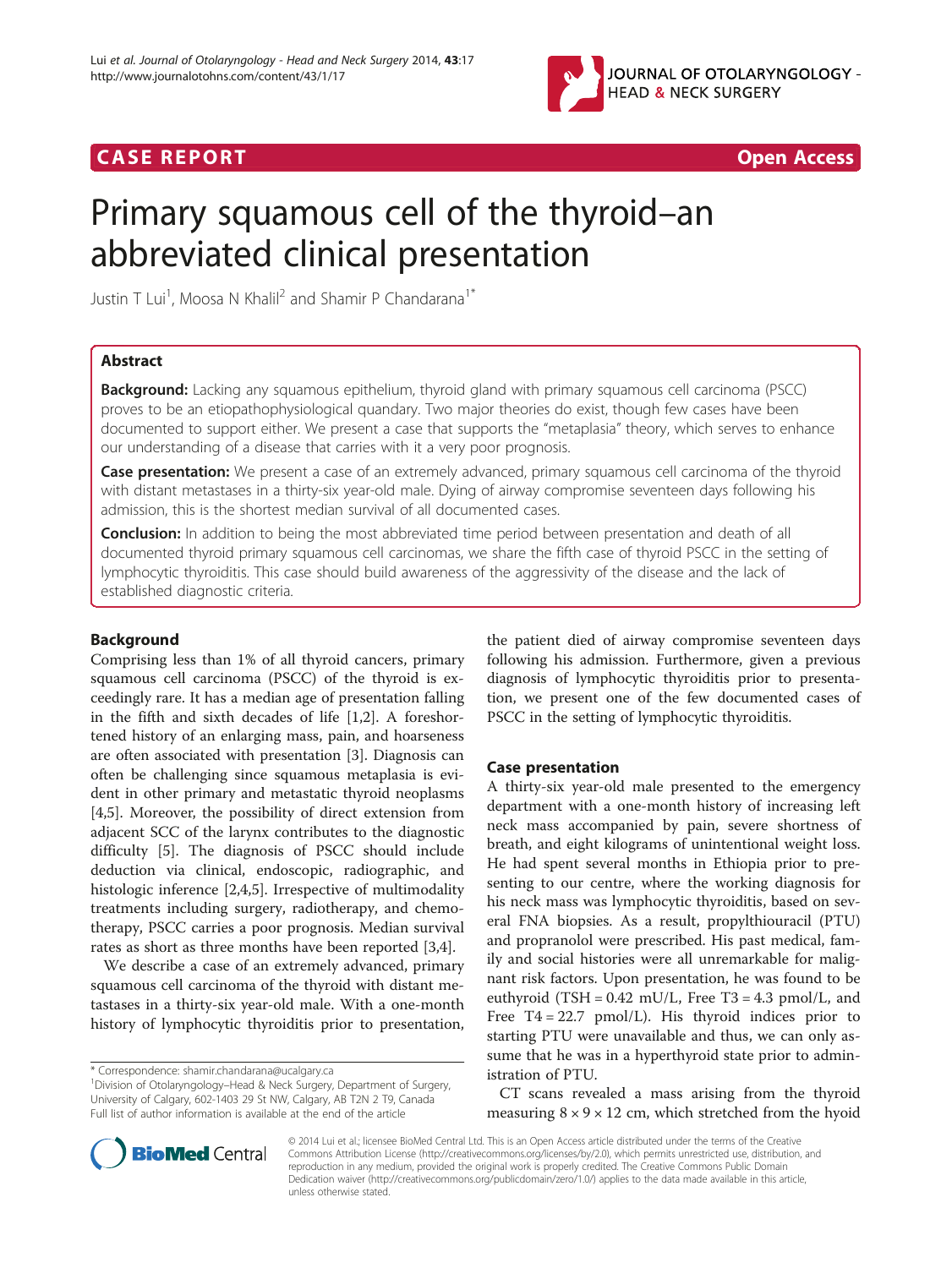

# CA S E R E POR T Open Access



# Primary squamous cell of the thyroid–an abbreviated clinical presentation

Justin T Lui<sup>1</sup>, Moosa N Khalil<sup>2</sup> and Shamir P Chandarana<sup>1\*</sup>

# Abstract

**Background:** Lacking any squamous epithelium, thyroid gland with primary squamous cell carcinoma (PSCC) proves to be an etiopathophysiological quandary. Two major theories do exist, though few cases have been documented to support either. We present a case that supports the "metaplasia" theory, which serves to enhance our understanding of a disease that carries with it a very poor prognosis.

Case presentation: We present a case of an extremely advanced, primary squamous cell carcinoma of the thyroid with distant metastases in a thirty-six year-old male. Dying of airway compromise seventeen days following his admission, this is the shortest median survival of all documented cases.

**Conclusion:** In addition to being the most abbreviated time period between presentation and death of all documented thyroid primary squamous cell carcinomas, we share the fifth case of thyroid PSCC in the setting of lymphocytic thyroiditis. This case should build awareness of the aggressivity of the disease and the lack of established diagnostic criteria.

# Background

Comprising less than 1% of all thyroid cancers, primary squamous cell carcinoma (PSCC) of the thyroid is exceedingly rare. It has a median age of presentation falling in the fifth and sixth decades of life [\[1,2\]](#page-3-0). A foreshortened history of an enlarging mass, pain, and hoarseness are often associated with presentation [[3\]](#page-3-0). Diagnosis can often be challenging since squamous metaplasia is evident in other primary and metastatic thyroid neoplasms [[4,5\]](#page-3-0). Moreover, the possibility of direct extension from adjacent SCC of the larynx contributes to the diagnostic difficulty [[5\]](#page-3-0). The diagnosis of PSCC should include deduction via clinical, endoscopic, radiographic, and histologic inference [\[2,4,5](#page-3-0)]. Irrespective of multimodality treatments including surgery, radiotherapy, and chemotherapy, PSCC carries a poor prognosis. Median survival rates as short as three months have been reported [\[3,4\]](#page-3-0).

We describe a case of an extremely advanced, primary squamous cell carcinoma of the thyroid with distant metastases in a thirty-six year-old male. With a one-month history of lymphocytic thyroiditis prior to presentation,

the patient died of airway compromise seventeen days following his admission. Furthermore, given a previous diagnosis of lymphocytic thyroiditis prior to presentation, we present one of the few documented cases of PSCC in the setting of lymphocytic thyroiditis.

#### Case presentation

A thirty-six year-old male presented to the emergency department with a one-month history of increasing left neck mass accompanied by pain, severe shortness of breath, and eight kilograms of unintentional weight loss. He had spent several months in Ethiopia prior to presenting to our centre, where the working diagnosis for his neck mass was lymphocytic thyroiditis, based on several FNA biopsies. As a result, propylthiouracil (PTU) and propranolol were prescribed. His past medical, family and social histories were all unremarkable for malignant risk factors. Upon presentation, he was found to be euthyroid (TSH =  $0.42$  mU/L, Free T3 =  $4.3$  pmol/L, and Free  $T4 = 22.7$  pmol/L). His thyroid indices prior to starting PTU were unavailable and thus, we can only assume that he was in a hyperthyroid state prior to administration of PTU.

CT scans revealed a mass arising from the thyroid measuring  $8 \times 9 \times 12$  cm, which stretched from the hyoid



© 2014 Lui et al.; licensee BioMed Central Ltd. This is an Open Access article distributed under the terms of the Creative Commons Attribution License [\(http://creativecommons.org/licenses/by/2.0\)](http://creativecommons.org/licenses/by/2.0), which permits unrestricted use, distribution, and reproduction in any medium, provided the original work is properly credited. The Creative Commons Public Domain Dedication waiver [\(http://creativecommons.org/publicdomain/zero/1.0/](http://creativecommons.org/publicdomain/zero/1.0/)) applies to the data made available in this article, unless otherwise stated.

<sup>\*</sup> Correspondence: [shamir.chandarana@ucalgary.ca](mailto:shamir.chandarana@ucalgary.ca) <sup>1</sup>

<sup>&</sup>lt;sup>1</sup> Division of Otolaryngology–Head & Neck Surgery, Department of Surgery, University of Calgary, 602-1403 29 St NW, Calgary, AB T2N 2 T9, Canada Full list of author information is available at the end of the article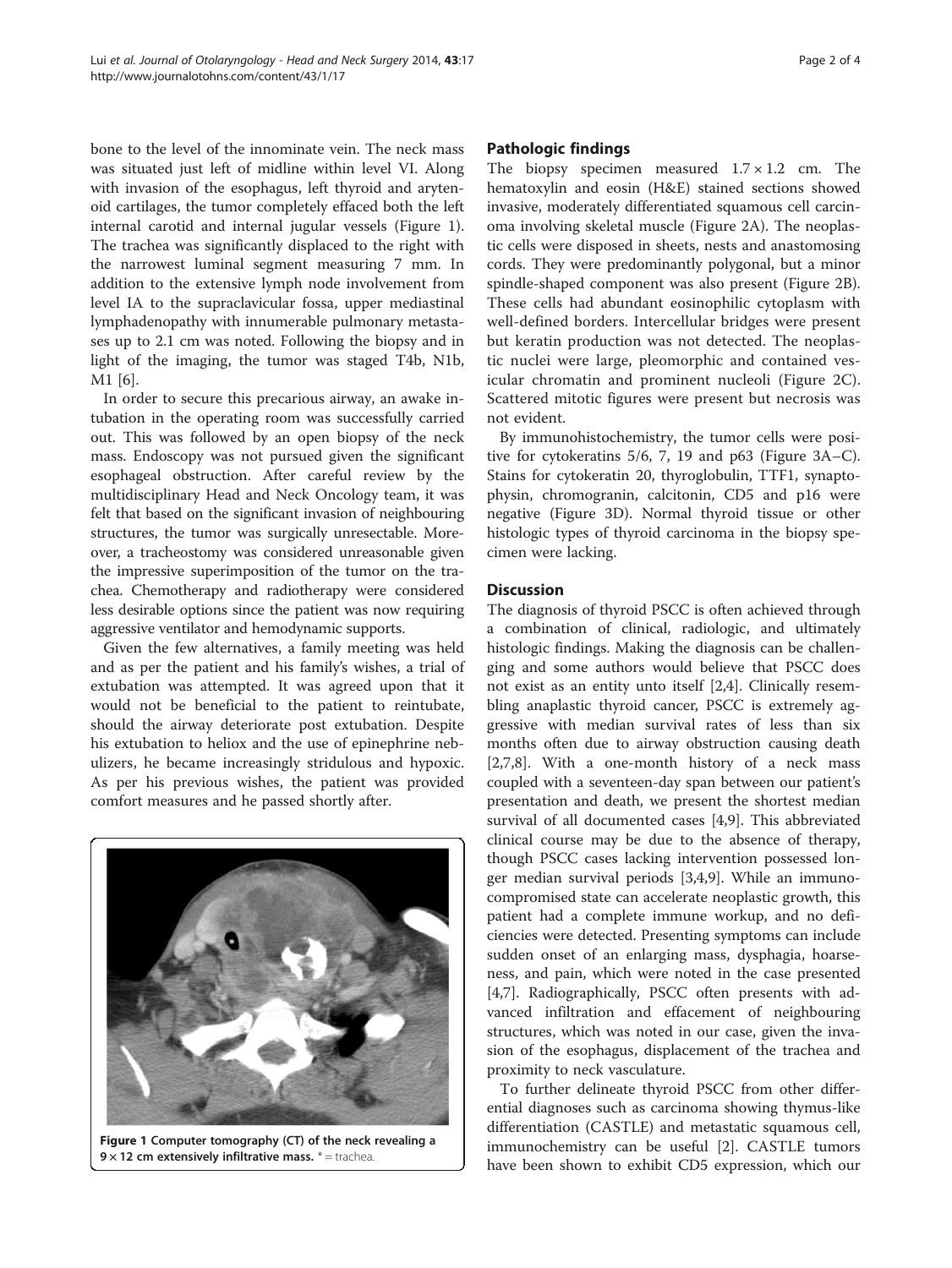bone to the level of the innominate vein. The neck mass was situated just left of midline within level VI. Along with invasion of the esophagus, left thyroid and arytenoid cartilages, the tumor completely effaced both the left internal carotid and internal jugular vessels (Figure 1). The trachea was significantly displaced to the right with the narrowest luminal segment measuring 7 mm. In addition to the extensive lymph node involvement from level IA to the supraclavicular fossa, upper mediastinal lymphadenopathy with innumerable pulmonary metastases up to 2.1 cm was noted. Following the biopsy and in light of the imaging, the tumor was staged T4b, N1b, M1 [[6\]](#page-3-0).

In order to secure this precarious airway, an awake intubation in the operating room was successfully carried out. This was followed by an open biopsy of the neck mass. Endoscopy was not pursued given the significant esophageal obstruction. After careful review by the multidisciplinary Head and Neck Oncology team, it was felt that based on the significant invasion of neighbouring structures, the tumor was surgically unresectable. Moreover, a tracheostomy was considered unreasonable given the impressive superimposition of the tumor on the trachea. Chemotherapy and radiotherapy were considered less desirable options since the patient was now requiring aggressive ventilator and hemodynamic supports.

Given the few alternatives, a family meeting was held and as per the patient and his family's wishes, a trial of extubation was attempted. It was agreed upon that it would not be beneficial to the patient to reintubate, should the airway deteriorate post extubation. Despite his extubation to heliox and the use of epinephrine nebulizers, he became increasingly stridulous and hypoxic. As per his previous wishes, the patient was provided comfort measures and he passed shortly after.



Figure 1 Computer tomography (CT) of the neck revealing a 9  $\times$  12 cm extensively infiltrative mass.  $*$  = trachea

# Pathologic findings

The biopsy specimen measured  $1.7 \times 1.2$  cm. The hematoxylin and eosin (H&E) stained sections showed invasive, moderately differentiated squamous cell carcinoma involving skeletal muscle (Figure [2A](#page-2-0)). The neoplastic cells were disposed in sheets, nests and anastomosing cords. They were predominantly polygonal, but a minor spindle-shaped component was also present (Figure [2](#page-2-0)B). These cells had abundant eosinophilic cytoplasm with well-defined borders. Intercellular bridges were present but keratin production was not detected. The neoplastic nuclei were large, pleomorphic and contained vesicular chromatin and prominent nucleoli (Figure [2](#page-2-0)C). Scattered mitotic figures were present but necrosis was not evident.

By immunohistochemistry, the tumor cells were positive for cytokeratins 5/6, 7, 19 and p63 (Figure [3A](#page-2-0)–C). Stains for cytokeratin 20, thyroglobulin, TTF1, synaptophysin, chromogranin, calcitonin, CD5 and p16 were negative (Figure [3](#page-2-0)D). Normal thyroid tissue or other histologic types of thyroid carcinoma in the biopsy specimen were lacking.

# **Discussion**

The diagnosis of thyroid PSCC is often achieved through a combination of clinical, radiologic, and ultimately histologic findings. Making the diagnosis can be challenging and some authors would believe that PSCC does not exist as an entity unto itself [\[2,4](#page-3-0)]. Clinically resembling anaplastic thyroid cancer, PSCC is extremely aggressive with median survival rates of less than six months often due to airway obstruction causing death [[2,7,8\]](#page-3-0). With a one-month history of a neck mass coupled with a seventeen-day span between our patient's presentation and death, we present the shortest median survival of all documented cases [\[4,9](#page-3-0)]. This abbreviated clinical course may be due to the absence of therapy, though PSCC cases lacking intervention possessed longer median survival periods [[3,4,9\]](#page-3-0). While an immunocompromised state can accelerate neoplastic growth, this patient had a complete immune workup, and no deficiencies were detected. Presenting symptoms can include sudden onset of an enlarging mass, dysphagia, hoarseness, and pain, which were noted in the case presented [[4,7\]](#page-3-0). Radiographically, PSCC often presents with advanced infiltration and effacement of neighbouring structures, which was noted in our case, given the invasion of the esophagus, displacement of the trachea and proximity to neck vasculature.

To further delineate thyroid PSCC from other differential diagnoses such as carcinoma showing thymus-like differentiation (CASTLE) and metastatic squamous cell, immunochemistry can be useful [[2\]](#page-3-0). CASTLE tumors have been shown to exhibit CD5 expression, which our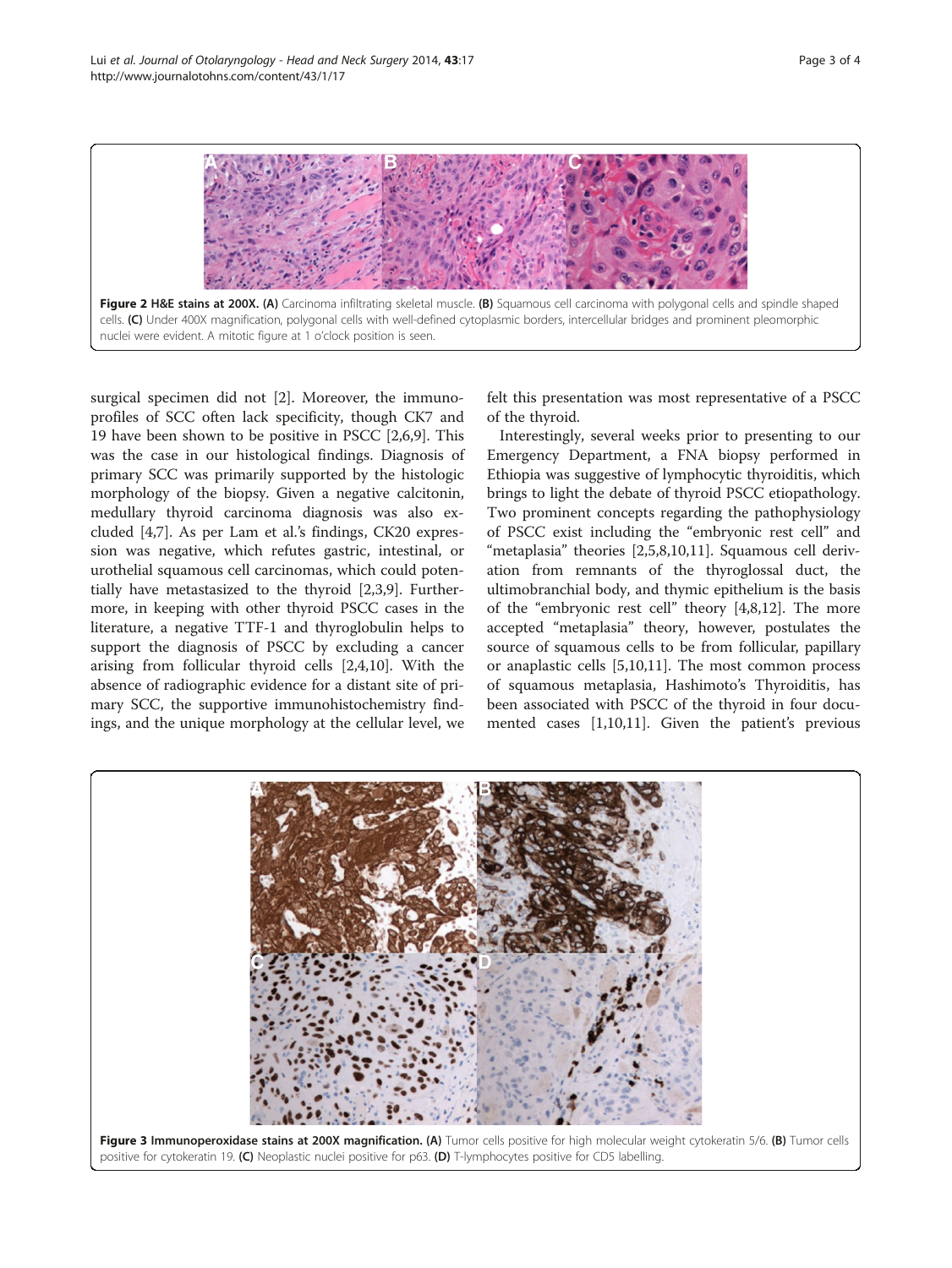<span id="page-2-0"></span>

surgical specimen did not [\[2](#page-3-0)]. Moreover, the immunoprofiles of SCC often lack specificity, though CK7 and 19 have been shown to be positive in PSCC [[2,6,9\]](#page-3-0). This was the case in our histological findings. Diagnosis of primary SCC was primarily supported by the histologic morphology of the biopsy. Given a negative calcitonin, medullary thyroid carcinoma diagnosis was also excluded [[4,7\]](#page-3-0). As per Lam et al.'s findings, CK20 expression was negative, which refutes gastric, intestinal, or urothelial squamous cell carcinomas, which could potentially have metastasized to the thyroid [[2,3,9\]](#page-3-0). Furthermore, in keeping with other thyroid PSCC cases in the literature, a negative TTF-1 and thyroglobulin helps to support the diagnosis of PSCC by excluding a cancer arising from follicular thyroid cells [[2,4,10\]](#page-3-0). With the absence of radiographic evidence for a distant site of primary SCC, the supportive immunohistochemistry findings, and the unique morphology at the cellular level, we

felt this presentation was most representative of a PSCC of the thyroid.

Interestingly, several weeks prior to presenting to our Emergency Department, a FNA biopsy performed in Ethiopia was suggestive of lymphocytic thyroiditis, which brings to light the debate of thyroid PSCC etiopathology. Two prominent concepts regarding the pathophysiology of PSCC exist including the "embryonic rest cell" and "metaplasia" theories [\[2,5](#page-3-0),[8](#page-3-0),[10](#page-3-0),[11](#page-3-0)]. Squamous cell derivation from remnants of the thyroglossal duct, the ultimobranchial body, and thymic epithelium is the basis of the "embryonic rest cell" theory [\[4,8](#page-3-0),[12](#page-3-0)]. The more accepted "metaplasia" theory, however, postulates the source of squamous cells to be from follicular, papillary or anaplastic cells [\[5,10,11\]](#page-3-0). The most common process of squamous metaplasia, Hashimoto's Thyroiditis, has been associated with PSCC of the thyroid in four documented cases [[1,10,11\]](#page-3-0). Given the patient's previous